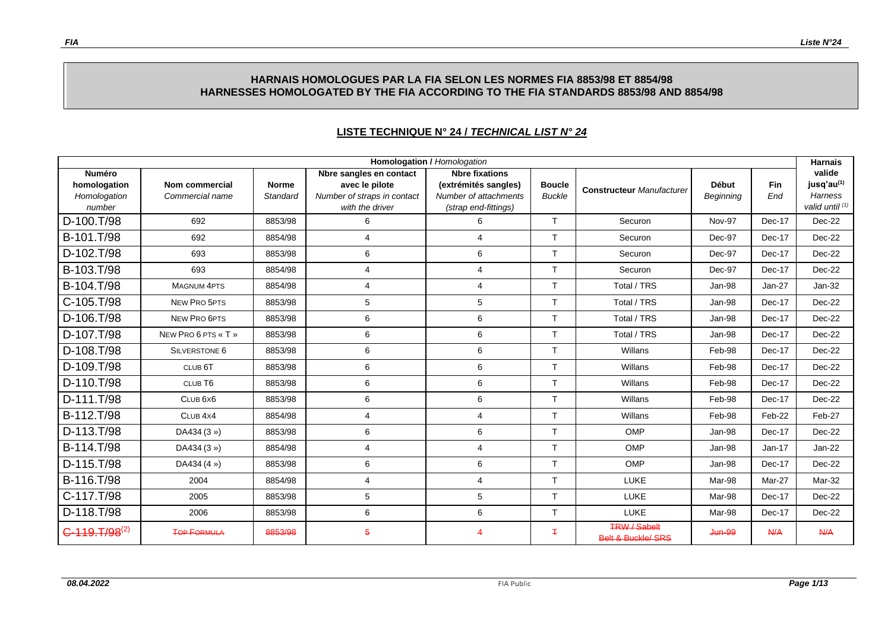### **HARNAIS HOMOLOGUES PAR LA FIA SELON LES NORMES FIA 8853/98 ET 8854/98 HARNESSES HOMOLOGATED BY THE FIA ACCORDING TO THE FIA STANDARDS 8853/98 AND 8854/98**

| <b>Homologation / Homologation</b><br><b>Harnais</b>    |                                   |                          |                                                                                             |                                                                                                |                                |                                                      |                           |                   |                                                                         |  |
|---------------------------------------------------------|-----------------------------------|--------------------------|---------------------------------------------------------------------------------------------|------------------------------------------------------------------------------------------------|--------------------------------|------------------------------------------------------|---------------------------|-------------------|-------------------------------------------------------------------------|--|
| <b>Numéro</b><br>homologation<br>Homologation<br>number | Nom commercial<br>Commercial name | <b>Norme</b><br>Standard | Nbre sangles en contact<br>avec le pilote<br>Number of straps in contact<br>with the driver | <b>Nbre fixations</b><br>(extrémités sangles)<br>Number of attachments<br>(strap end-fittings) | <b>Boucle</b><br><b>Buckle</b> | <b>Constructeur Manufacturer</b>                     | <b>Début</b><br>Beginning | <b>Fin</b><br>End | valide<br>jusq'au <sup>(1)</sup><br><b>Harness</b><br>valid until $(1)$ |  |
| D-100.T/98                                              | 692                               | 8853/98                  | 6                                                                                           | 6                                                                                              | $\top$                         | Securon                                              | Nov-97                    | Dec-17            | Dec-22                                                                  |  |
| B-101.T/98                                              | 692                               | 8854/98                  | 4                                                                                           | $\overline{4}$                                                                                 | $\mathsf{T}$                   | Securon                                              | Dec-97                    | Dec-17            | Dec-22                                                                  |  |
| D-102.T/98                                              | 693                               | 8853/98                  | 6                                                                                           | 6                                                                                              | T                              | Securon                                              | Dec-97                    | Dec-17            | Dec-22                                                                  |  |
| B-103.T/98                                              | 693                               | 8854/98                  | 4                                                                                           | $\overline{4}$                                                                                 | $\mathsf{T}$                   | Securon                                              | Dec-97                    | Dec-17            | Dec-22                                                                  |  |
| B-104.T/98                                              | <b>MAGNUM 4PTS</b>                | 8854/98                  | 4                                                                                           | $\overline{4}$                                                                                 | T                              | Total / TRS                                          | Jan-98                    | $Jan-27$          | $Jan-32$                                                                |  |
| C-105.T/98                                              | NEW PRO 5PTS                      | 8853/98                  | 5                                                                                           | 5                                                                                              | $\mathsf{T}$                   | Total / TRS                                          | Jan-98                    | Dec-17            | Dec-22                                                                  |  |
| D-106.T/98                                              | NEW PRO 6PTS                      | 8853/98                  | 6                                                                                           | 6                                                                                              | $\mathsf{T}$                   | Total / TRS                                          | Jan-98                    | Dec-17            | Dec-22                                                                  |  |
| D-107.T/98                                              | NEW PRO 6 PTS « T »               | 8853/98                  | 6                                                                                           | 6                                                                                              | $\mathsf{T}$                   | Total / TRS                                          | Jan-98                    | Dec-17            | Dec-22                                                                  |  |
| D-108.T/98                                              | <b>SILVERSTONE 6</b>              | 8853/98                  | 6                                                                                           | 6                                                                                              | $\mathsf{T}$                   | Willans                                              | Feb-98                    | Dec-17            | Dec-22                                                                  |  |
| D-109.T/98                                              | CLUB <sub>6</sub> T               | 8853/98                  | 6                                                                                           | 6                                                                                              | $\top$                         | Willans                                              | Feb-98                    | Dec-17            | Dec-22                                                                  |  |
| D-110.T/98                                              | CLUB <sub>T6</sub>                | 8853/98                  | 6                                                                                           | 6                                                                                              | $\mathsf{T}$                   | Willans                                              | Feb-98                    | Dec-17            | Dec-22                                                                  |  |
| D-111.T/98                                              | CLUB <sub>6X6</sub>               | 8853/98                  | 6                                                                                           | 6                                                                                              | $\mathsf{T}$                   | Willans                                              | Feb-98                    | Dec-17            | Dec-22                                                                  |  |
| B-112.T/98                                              | CLUB <sub>4X4</sub>               | 8854/98                  | 4                                                                                           | $\overline{4}$                                                                                 | $\mathsf{T}$                   | Willans                                              | Feb-98                    | Feb-22            | Feb-27                                                                  |  |
| D-113.T/98                                              | DA434 (3 »)                       | 8853/98                  | 6                                                                                           | 6                                                                                              | $\top$                         | <b>OMP</b>                                           | Jan-98                    | Dec-17            | Dec-22                                                                  |  |
| B-114.T/98                                              | DA434 (3 »)                       | 8854/98                  | 4                                                                                           | $\overline{4}$                                                                                 | T                              | <b>OMP</b>                                           | Jan-98                    | $Jan-17$          | Jan-22                                                                  |  |
| D-115.T/98                                              | DA434 (4 »)                       | 8853/98                  | 6                                                                                           | 6                                                                                              | $\mathsf{T}$                   | OMP                                                  | Jan-98                    | Dec-17            | Dec-22                                                                  |  |
| B-116.T/98                                              | 2004                              | 8854/98                  | 4                                                                                           | $\overline{4}$                                                                                 | $\mathsf{T}$                   | LUKE                                                 | Mar-98                    | Mar-27            | Mar-32                                                                  |  |
| C-117.T/98                                              | 2005                              | 8853/98                  | 5                                                                                           | $\,$ 5 $\,$                                                                                    | $\top$                         | LUKE                                                 | Mar-98                    | Dec-17            | Dec-22                                                                  |  |
| D-118.T/98                                              | 2006                              | 8853/98                  | 6                                                                                           | 6                                                                                              | $\mathsf{T}$                   | LUKE                                                 | Mar-98                    | Dec-17            | Dec-22                                                                  |  |
| $C-119. T/98^{(2)}$                                     | <b>TOP FORMULA</b>                | 8853/98                  | 5                                                                                           | $\overline{4}$                                                                                 | Ŧ                              | <b>TRW / Sabelt</b><br><b>Belt &amp; Buckle/ SRS</b> | <b>Jun-99</b>             | N/A               | N/A                                                                     |  |

### **LISTE TECHNIQUE N° 24 /** *TECHNICAL LIST N° 24*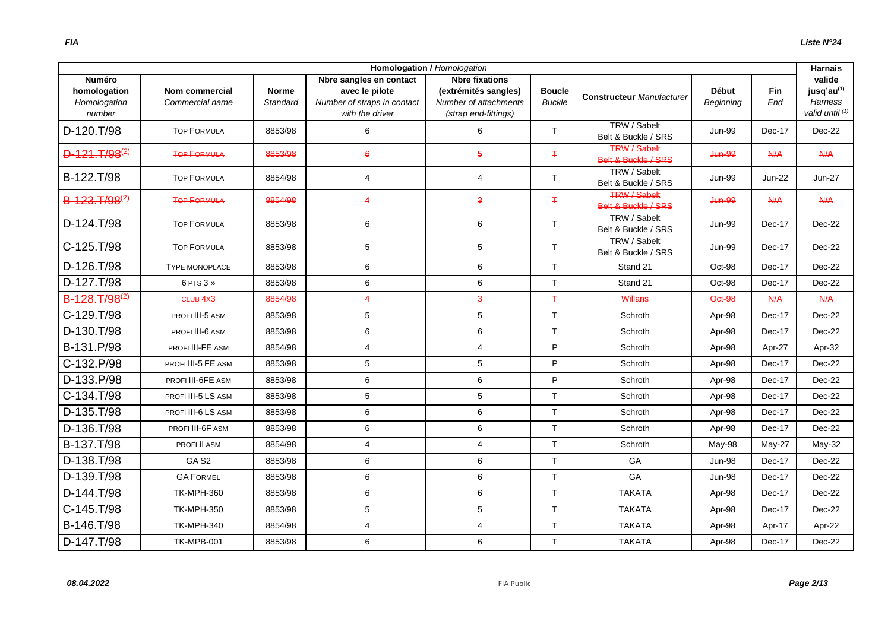| <b>Homologation / Homologation</b><br><b>Harnais</b>    |                                   |                          |                                                                                             |                                                                                                |                                |                                            |                           |                   |                                                                       |
|---------------------------------------------------------|-----------------------------------|--------------------------|---------------------------------------------------------------------------------------------|------------------------------------------------------------------------------------------------|--------------------------------|--------------------------------------------|---------------------------|-------------------|-----------------------------------------------------------------------|
| <b>Numéro</b><br>homologation<br>Homologation<br>number | Nom commercial<br>Commercial name | <b>Norme</b><br>Standard | Nbre sangles en contact<br>avec le pilote<br>Number of straps in contact<br>with the driver | <b>Nbre fixations</b><br>(extrémités sangles)<br>Number of attachments<br>(strap end-fittings) | <b>Boucle</b><br><b>Buckle</b> | <b>Constructeur Manufacturer</b>           | <b>Début</b><br>Beginning | <b>Fin</b><br>End | valide<br>jusq'au <sup>(1)</sup><br><b>Harness</b><br>valid until (1) |
| D-120.T/98                                              | <b>TOP FORMULA</b>                | 8853/98                  | 6                                                                                           | 6                                                                                              | $\mathsf{T}$                   | TRW / Sabelt<br>Belt & Buckle / SRS        | <b>Jun-99</b>             | Dec-17            | Dec-22                                                                |
| $D-121.T/98^{(2)}$                                      | <b>TOP FORMULA</b>                | 8853/98                  | $6\overline{6}$                                                                             | $\overline{5}$                                                                                 | Ŧ.                             | <b>TRW / Sabelt</b><br>Belt & Buckle / SRS | Jun-99                    | A                 | A/4                                                                   |
| B-122.T/98                                              | <b>TOP FORMULA</b>                | 8854/98                  | 4                                                                                           | $\overline{4}$                                                                                 | $\top$                         | TRW / Sabelt<br>Belt & Buckle / SRS        | <b>Jun-99</b>             | Jun-22            | <b>Jun-27</b>                                                         |
| B-123.T/98 <sup>(2)</sup>                               | <b>TOP FORMULA</b>                | 8854/98                  | 4                                                                                           | $\overline{\mathbf{3}}$                                                                        | $\mp$                          | <b>TRW / Sabelt</b><br>Belt & Buckle / SRS | <b>Jun-99</b>             | $A$ / $A$         | N/A                                                                   |
| D-124.T/98                                              | <b>TOP FORMULA</b>                | 8853/98                  | 6                                                                                           | 6                                                                                              | $\mathsf{T}$                   | TRW / Sabelt<br>Belt & Buckle / SRS        | <b>Jun-99</b>             | Dec-17            | Dec-22                                                                |
| C-125.T/98                                              | <b>TOP FORMULA</b>                | 8853/98                  | 5                                                                                           | 5                                                                                              | $\mathsf{T}$                   | TRW / Sabelt<br>Belt & Buckle / SRS        | <b>Jun-99</b>             | Dec-17            | Dec-22                                                                |
| D-126.T/98                                              | <b>TYPE MONOPLACE</b>             | 8853/98                  | 6                                                                                           | 6                                                                                              | T                              | Stand 21                                   | Oct-98                    | Dec-17            | $Dec-22$                                                              |
| D-127.T/98                                              | 6 PTS 3 »                         | 8853/98                  | 6                                                                                           | 6                                                                                              | $\mathsf{T}$                   | Stand 21                                   | Oct-98                    | Dec-17            | Dec-22                                                                |
| B-128, T/98 <sup>(2)</sup>                              | CLUB <sub>4X3</sub>               | 8854/98                  | 4                                                                                           | $\overline{\mathbf{3}}$                                                                        | $\mp$                          | Willans                                    | Oct-98                    | <b>N/A</b>        | A                                                                     |
| C-129.T/98                                              | PROFI III-5 ASM                   | 8853/98                  | 5                                                                                           | $\,$ 5 $\,$                                                                                    | $\mathsf{T}$                   | Schroth                                    | Apr-98                    | Dec-17            | Dec-22                                                                |
| D-130.T/98                                              | PROFI III-6 ASM                   | 8853/98                  | 6                                                                                           | $\,6\,$                                                                                        | $\mathsf{T}$                   | Schroth                                    | Apr-98                    | Dec-17            | Dec-22                                                                |
| B-131.P/98                                              | PROFI III-FE ASM                  | 8854/98                  | 4                                                                                           | $\overline{4}$                                                                                 | P                              | Schroth                                    | Apr-98                    | Apr-27            | Apr-32                                                                |
| C-132.P/98                                              | PROFI III-5 FE ASM                | 8853/98                  | 5                                                                                           | $\,$ 5 $\,$                                                                                    | P                              | Schroth                                    | Apr-98                    | Dec-17            | Dec-22                                                                |
| D-133.P/98                                              | PROFI III-6FE ASM                 | 8853/98                  | 6                                                                                           | 6                                                                                              | P                              | Schroth                                    | Apr-98                    | Dec-17            | $Dec-22$                                                              |
| C-134.T/98                                              | PROFI III-5 LS ASM                | 8853/98                  | 5                                                                                           | 5                                                                                              | T                              | Schroth                                    | Apr-98                    | Dec-17            | $Dec-22$                                                              |
| D-135.T/98                                              | PROFI III-6 LS ASM                | 8853/98                  | 6                                                                                           | 6                                                                                              | T                              | Schroth                                    | Apr-98                    | Dec-17            | Dec-22                                                                |
| D-136.T/98                                              | PROFI III-6F ASM                  | 8853/98                  | 6                                                                                           | $\,6$                                                                                          | T                              | Schroth                                    | Apr-98                    | Dec-17            | Dec-22                                                                |
| B-137.T/98                                              | PROFI II ASM                      | 8854/98                  | 4                                                                                           | $\overline{4}$                                                                                 | T                              | Schroth                                    | May-98                    | May-27            | <b>May-32</b>                                                         |
| D-138.T/98                                              | GA <sub>S2</sub>                  | 8853/98                  | 6                                                                                           | $\,6\,$                                                                                        | $\mathsf{T}$                   | GA                                         | <b>Jun-98</b>             | Dec-17            | Dec-22                                                                |
| D-139.T/98                                              | <b>GA FORMEL</b>                  | 8853/98                  | 6                                                                                           | $\,6\,$                                                                                        | $\mathsf{T}$                   | GA                                         | <b>Jun-98</b>             | Dec-17            | Dec-22                                                                |
| D-144.T/98                                              | <b>TK-MPH-360</b>                 | 8853/98                  | 6                                                                                           | $\,6\,$                                                                                        | $\mathsf{T}$                   | <b>TAKATA</b>                              | Apr-98                    | Dec-17            | Dec-22                                                                |
| C-145.T/98                                              | <b>TK-MPH-350</b>                 | 8853/98                  | 5                                                                                           | $\overline{5}$                                                                                 | T                              | <b>TAKATA</b>                              | Apr-98                    | Dec-17            | Dec-22                                                                |
| B-146.T/98                                              | <b>TK-MPH-340</b>                 | 8854/98                  | 4                                                                                           | $\overline{4}$                                                                                 | T                              | <b>TAKATA</b>                              | Apr-98                    | Apr-17            | Apr-22                                                                |
| D-147.T/98                                              | <b>TK-MPB-001</b>                 | 8853/98                  | 6                                                                                           | 6                                                                                              | $\top$                         | <b>TAKATA</b>                              | Apr-98                    | Dec-17            | Dec-22                                                                |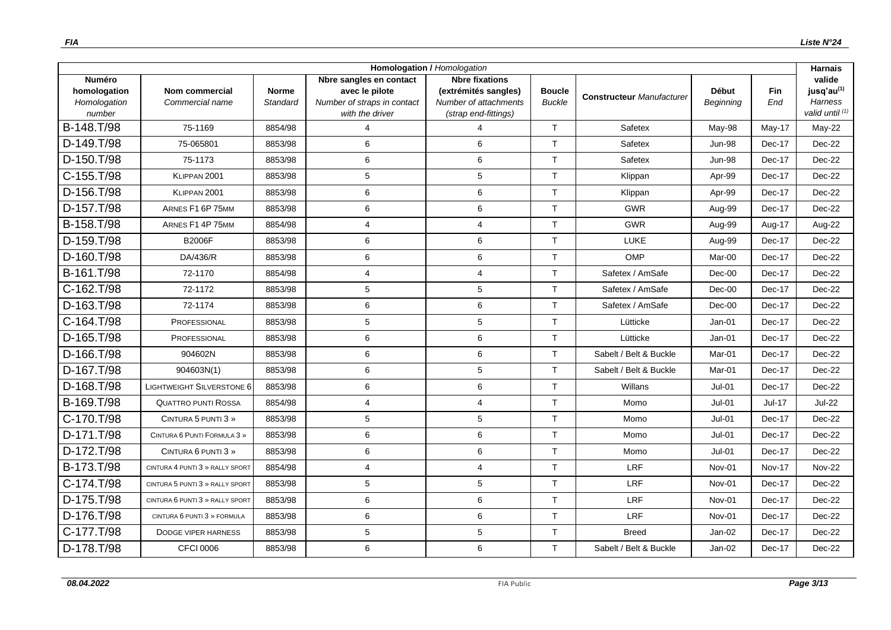| <b>Homologation / Homologation</b>                      |                                          |                          |                                                                                             |                                                                                                |                                |                                  |                                  |                   | <b>Harnais</b>                                                        |
|---------------------------------------------------------|------------------------------------------|--------------------------|---------------------------------------------------------------------------------------------|------------------------------------------------------------------------------------------------|--------------------------------|----------------------------------|----------------------------------|-------------------|-----------------------------------------------------------------------|
| <b>Numéro</b><br>homologation<br>Homologation<br>number | <b>Nom commercial</b><br>Commercial name | <b>Norme</b><br>Standard | Nbre sangles en contact<br>avec le pilote<br>Number of straps in contact<br>with the driver | <b>Nbre fixations</b><br>(extrémités sangles)<br>Number of attachments<br>(strap end-fittings) | <b>Boucle</b><br><b>Buckle</b> | <b>Constructeur Manufacturer</b> | <b>Début</b><br><b>Beginning</b> | <b>Fin</b><br>End | valide<br>jusq'au <sup>(1)</sup><br><b>Harness</b><br>valid until (1) |
| B-148.T/98                                              | 75-1169                                  | 8854/98                  | 4                                                                                           | $\Delta$                                                                                       | $\mathsf{T}$                   | Safetex                          | May-98                           | May-17            | May-22                                                                |
| D-149.T/98                                              | 75-065801                                | 8853/98                  | 6                                                                                           | 6                                                                                              | $\mathsf{T}$                   | Safetex                          | <b>Jun-98</b>                    | Dec-17            | Dec-22                                                                |
| D-150.T/98                                              | 75-1173                                  | 8853/98                  | 6                                                                                           | 6                                                                                              | T                              | Safetex                          | <b>Jun-98</b>                    | Dec-17            | $Dec-22$                                                              |
| C-155.T/98                                              | KLIPPAN 2001                             | 8853/98                  | 5                                                                                           | $\,$ 5 $\,$                                                                                    | $\mathsf{T}$                   | Klippan                          | Apr-99                           | Dec-17            | Dec-22                                                                |
| D-156.T/98                                              | KLIPPAN 2001                             | 8853/98                  | 6                                                                                           | 6                                                                                              | $\mathsf{T}$                   | Klippan                          | Apr-99                           | Dec-17            | Dec-22                                                                |
| D-157.T/98                                              | ARNES F1 6P 75MM                         | 8853/98                  | 6                                                                                           | $6\phantom{1}6$                                                                                | T                              | <b>GWR</b>                       | Aug-99                           | Dec-17            | Dec-22                                                                |
| B-158.T/98                                              | ARNES F1 4P 75MM                         | 8854/98                  | 4                                                                                           | $\overline{4}$                                                                                 | $\mathsf{T}$                   | <b>GWR</b>                       | Aug-99                           | Aug-17            | Aug-22                                                                |
| D-159.T/98                                              | <b>B2006F</b>                            | 8853/98                  | 6                                                                                           | 6                                                                                              | $\mathsf{T}$                   | LUKE                             | Aug-99                           | Dec-17            | Dec-22                                                                |
| D-160.T/98                                              | DA/436/R                                 | 8853/98                  | 6                                                                                           | 6                                                                                              | $\mathsf{T}$                   | OMP                              | Mar-00                           | Dec-17            | Dec-22                                                                |
| B-161.T/98                                              | 72-1170                                  | 8854/98                  | 4                                                                                           | $\overline{4}$                                                                                 | $\mathsf{T}$                   | Safetex / AmSafe                 | $Dec-00$                         | Dec-17            | Dec-22                                                                |
| C-162.T/98                                              | 72-1172                                  | 8853/98                  | 5                                                                                           | 5                                                                                              | T                              | Safetex / AmSafe                 | $Dec-00$                         | Dec-17            | $Dec-22$                                                              |
| D-163.T/98                                              | 72-1174                                  | 8853/98                  | 6                                                                                           | 6                                                                                              | $\mathsf{T}$                   | Safetex / AmSafe                 | $Dec-00$                         | Dec-17            | Dec-22                                                                |
| C-164.T/98                                              | PROFESSIONAL                             | 8853/98                  | 5                                                                                           | 5                                                                                              | $\mathsf{T}$                   | Lütticke                         | $Jan-01$                         | Dec-17            | Dec-22                                                                |
| D-165.T/98                                              | PROFESSIONAL                             | 8853/98                  | 6                                                                                           | $\,6$                                                                                          | $\top$                         | Lütticke                         | Jan-01                           | Dec-17            | Dec-22                                                                |
| D-166.T/98                                              | 904602N                                  | 8853/98                  | 6                                                                                           | 6                                                                                              | $\mathsf{T}$                   | Sabelt / Belt & Buckle           | Mar-01                           | Dec-17            | Dec-22                                                                |
| D-167.T/98                                              | 904603N(1)                               | 8853/98                  | 6                                                                                           | 5                                                                                              | T                              | Sabelt / Belt & Buckle           | Mar-01                           | Dec-17            | $Dec-22$                                                              |
| D-168.T/98                                              | <b>LIGHTWEIGHT SILVERSTONE 6</b>         | 8853/98                  | 6                                                                                           | 6                                                                                              | $\top$                         | Willans                          | $Jul-01$                         | Dec-17            | Dec-22                                                                |
| B-169.T/98                                              | <b>QUATTRO PUNTI ROSSA</b>               | 8854/98                  | 4                                                                                           | $\overline{4}$                                                                                 | T                              | Momo                             | Jul-01                           | <b>Jul-17</b>     | <b>Jul-22</b>                                                         |
| C-170.T/98                                              | CINTURA 5 PUNTI 3 »                      | 8853/98                  | 5                                                                                           | 5                                                                                              | $\mathsf{T}$                   | Momo                             | <b>Jul-01</b>                    | Dec-17            | Dec-22                                                                |
| D-171.T/98                                              | CINTURA 6 PUNTI FORMULA 3 »              | 8853/98                  | 6                                                                                           | 6                                                                                              | $\mathsf{T}$                   | Momo                             | $Jul-01$                         | Dec-17            | Dec-22                                                                |
| D-172.T/98                                              | CINTURA 6 PUNTI 3 »                      | 8853/98                  | 6                                                                                           | 6                                                                                              | T                              | Momo                             | <b>Jul-01</b>                    | Dec-17            | Dec-22                                                                |
| B-173.T/98                                              | CINTURA 4 PUNTI 3 » RALLY SPORT          | 8854/98                  | 4                                                                                           | $\overline{4}$                                                                                 | T                              | LRF                              | Nov-01                           | <b>Nov-17</b>     | <b>Nov-22</b>                                                         |
| C-174.T/98                                              | CINTURA 5 PUNTI 3 » RALLY SPORT          | 8853/98                  | 5                                                                                           | 5                                                                                              | T                              | <b>LRF</b>                       | Nov-01                           | Dec-17            | Dec-22                                                                |
| D-175.T/98                                              | CINTURA 6 PUNTI 3 » RALLY SPORT          | 8853/98                  | 6                                                                                           | $\,6$                                                                                          | $\mathsf{T}$                   | LRF                              | Nov-01                           | Dec-17            | Dec-22                                                                |
| D-176.T/98                                              | CINTURA 6 PUNTI 3 » FORMULA              | 8853/98                  | 6                                                                                           | 6                                                                                              | $\mathsf{T}$                   | LRF                              | Nov-01                           | Dec-17            | Dec-22                                                                |
| C-177.T/98                                              | <b>DODGE VIPER HARNESS</b>               | 8853/98                  | 5                                                                                           | 5                                                                                              | $\mathsf{T}$                   | <b>Breed</b>                     | $Jan-02$                         | Dec-17            | Dec-22                                                                |
| D-178.T/98                                              | CFCI 0006                                | 8853/98                  | 6                                                                                           | 6                                                                                              | T                              | Sabelt / Belt & Buckle           | $Jan-02$                         | Dec-17            | Dec-22                                                                |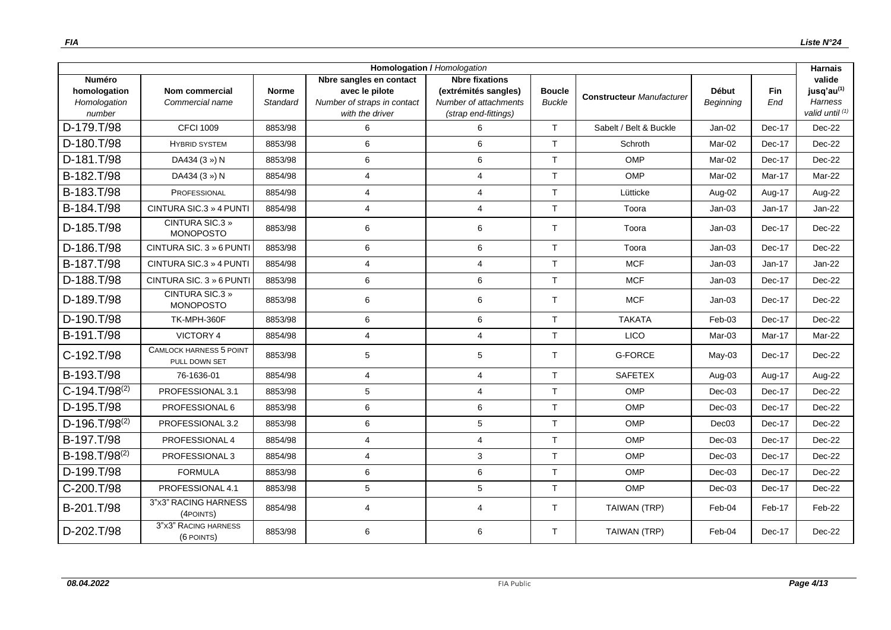| <b>Homologation / Homologation</b><br><b>Harnais</b>    |                                                 |                          |                                                                                             |                                                                                                |                                |                                  |                           |                   |                                                                       |
|---------------------------------------------------------|-------------------------------------------------|--------------------------|---------------------------------------------------------------------------------------------|------------------------------------------------------------------------------------------------|--------------------------------|----------------------------------|---------------------------|-------------------|-----------------------------------------------------------------------|
| <b>Numéro</b><br>homologation<br>Homologation<br>number | Nom commercial<br>Commercial name               | <b>Norme</b><br>Standard | Nbre sangles en contact<br>avec le pilote<br>Number of straps in contact<br>with the driver | <b>Nbre fixations</b><br>(extrémités sangles)<br>Number of attachments<br>(strap end-fittings) | <b>Boucle</b><br><b>Buckle</b> | <b>Constructeur Manufacturer</b> | <b>Début</b><br>Beginning | <b>Fin</b><br>End | valide<br>jusq'au <sup>(1)</sup><br><b>Harness</b><br>valid until (1) |
| D-179.T/98                                              | <b>CFCI 1009</b>                                | 8853/98                  | 6                                                                                           | 6                                                                                              | T                              | Sabelt / Belt & Buckle           | $Jan-02$                  | Dec-17            | Dec-22                                                                |
| D-180.T/98                                              | <b>HYBRID SYSTEM</b>                            | 8853/98                  | 6                                                                                           | 6                                                                                              | T                              | Schroth                          | Mar-02                    | Dec-17            | Dec-22                                                                |
| D-181.T/98                                              | DA434 (3 ») N                                   | 8853/98                  | 6                                                                                           | 6                                                                                              | $\mathsf{T}$                   | OMP                              | Mar-02                    | Dec-17            | Dec-22                                                                |
| B-182.T/98                                              | DA434 (3 ») N                                   | 8854/98                  | $\overline{4}$                                                                              | $\overline{4}$                                                                                 | T                              | <b>OMP</b>                       | Mar-02                    | Mar-17            | Mar-22                                                                |
| B-183.T/98                                              | PROFESSIONAL                                    | 8854/98                  | $\overline{4}$                                                                              | $\overline{4}$                                                                                 | T                              | Lütticke                         | Aug-02                    | Aug-17            | Aug-22                                                                |
| B-184.T/98                                              | CINTURA SIC.3 » 4 PUNTI                         | 8854/98                  | $\overline{4}$                                                                              | $\overline{4}$                                                                                 | T                              | Toora                            | $Jan-03$                  | $Jan-17$          | $Jan-22$                                                              |
| D-185.T/98                                              | <b>CINTURA SIC.3 »</b><br><b>MONOPOSTO</b>      | 8853/98                  | 6                                                                                           | 6                                                                                              | T                              | Toora                            | $Jan-03$                  | Dec-17            | Dec-22                                                                |
| D-186.T/98                                              | CINTURA SIC. 3 » 6 PUNTI                        | 8853/98                  | 6                                                                                           | 6                                                                                              | T                              | Toora                            | $Jan-03$                  | Dec-17            | Dec-22                                                                |
| B-187.T/98                                              | CINTURA SIC.3 » 4 PUNTI                         | 8854/98                  | $\overline{4}$                                                                              | $\overline{4}$                                                                                 | $\mathsf{T}$                   | <b>MCF</b>                       | $Jan-03$                  | $Jan-17$          | $Jan-22$                                                              |
| D-188.T/98                                              | CINTURA SIC. 3 » 6 PUNTI                        | 8853/98                  | 6                                                                                           | 6                                                                                              | $\mathsf{T}$                   | <b>MCF</b>                       | $Jan-03$                  | Dec-17            | Dec-22                                                                |
| D-189.T/98                                              | CINTURA SIC.3 »<br><b>MONOPOSTO</b>             | 8853/98                  | 6                                                                                           | 6                                                                                              | T                              | <b>MCF</b>                       | $Jan-03$                  | Dec-17            | Dec-22                                                                |
| D-190.T/98                                              | TK-MPH-360F                                     | 8853/98                  | 6                                                                                           | 6                                                                                              | T                              | <b>TAKATA</b>                    | Feb-03                    | Dec-17            | Dec-22                                                                |
| B-191.T/98                                              | VICTORY 4                                       | 8854/98                  | $\overline{4}$                                                                              | $\overline{4}$                                                                                 | $\mathsf{T}$                   | LICO                             | Mar-03                    | Mar-17            | Mar-22                                                                |
| C-192.T/98                                              | <b>CAMLOCK HARNESS 5 POINT</b><br>PULL DOWN SET | 8853/98                  | 5                                                                                           | 5                                                                                              | T                              | <b>G-FORCE</b>                   | $May-03$                  | Dec-17            | Dec-22                                                                |
| B-193.T/98                                              | 76-1636-01                                      | 8854/98                  | 4                                                                                           | $\overline{4}$                                                                                 | T                              | <b>SAFETEX</b>                   | Aug-03                    | Aug-17            | Aug-22                                                                |
| $C-194.T/98^{(2)}$                                      | PROFESSIONAL 3.1                                | 8853/98                  | 5                                                                                           | $\overline{4}$                                                                                 | T                              | OMP                              | $Dec-03$                  | Dec-17            | Dec-22                                                                |
| D-195.T/98                                              | PROFESSIONAL 6                                  | 8853/98                  | 6                                                                                           | 6                                                                                              | $\mathsf{T}$                   | OMP                              | $Dec-03$                  | Dec-17            | Dec-22                                                                |
| $D-196.T/98^{(2)}$                                      | PROFESSIONAL 3.2                                | 8853/98                  | 6                                                                                           | $5\phantom{.0}$                                                                                | T                              | <b>OMP</b>                       | Dec03                     | Dec-17            | Dec-22                                                                |
| B-197.T/98                                              | PROFESSIONAL 4                                  | 8854/98                  | $\overline{4}$                                                                              | $\overline{4}$                                                                                 | T                              | OMP                              | $Dec-03$                  | Dec-17            | Dec-22                                                                |
| B-198.T/98 <sup>(2)</sup>                               | PROFESSIONAL 3                                  | 8854/98                  | $\overline{4}$                                                                              | 3                                                                                              | $\mathsf{T}$                   | OMP                              | $Dec-03$                  | Dec-17            | Dec-22                                                                |
| D-199.T/98                                              | <b>FORMULA</b>                                  | 8853/98                  | 6                                                                                           | 6                                                                                              | T                              | OMP                              | $Dec-03$                  | Dec-17            | $Dec-22$                                                              |
| C-200.T/98                                              | PROFESSIONAL 4.1                                | 8853/98                  | 5                                                                                           | $5\phantom{.0}$                                                                                | $\mathsf{T}$                   | OMP                              | $Dec-03$                  | Dec-17            | Dec-22                                                                |
| B-201.T/98                                              | 3"x3" RACING HARNESS<br>(4POINTS)               | 8854/98                  | 4                                                                                           | $\overline{4}$                                                                                 | T                              | TAIWAN (TRP)                     | Feb-04                    | Feb-17            | Feb-22                                                                |
| D-202.T/98                                              | 3"X3" RACING HARNESS<br>(6 POINTS)              | 8853/98                  | 6                                                                                           | 6                                                                                              | $\top$                         | TAIWAN (TRP)                     | Feb-04                    | Dec-17            | $Dec-22$                                                              |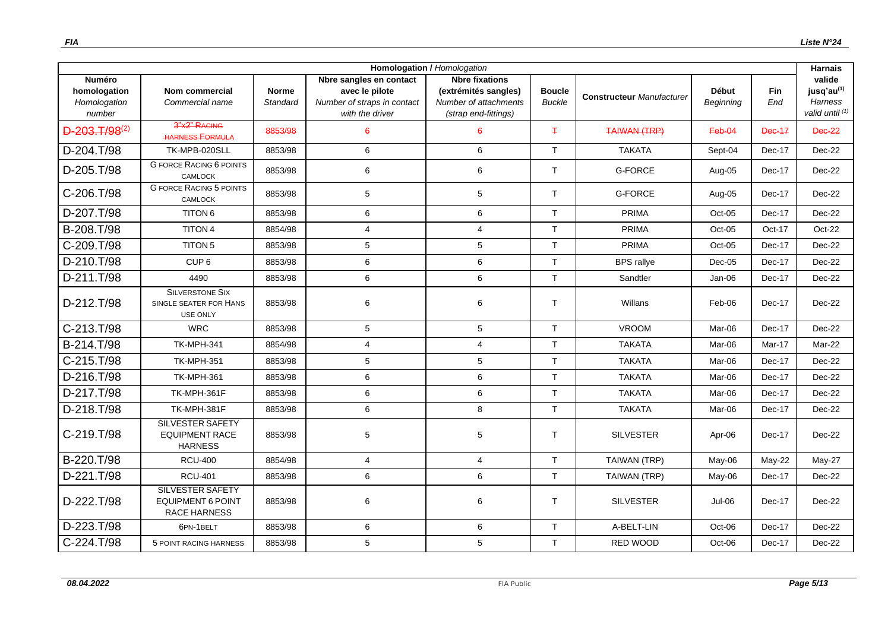| Homologation / Homologation                             |                                                                            |                          |                                                                                             |                                                                                                |                                |                                  |                           |               | <b>Harnais</b>                                                       |
|---------------------------------------------------------|----------------------------------------------------------------------------|--------------------------|---------------------------------------------------------------------------------------------|------------------------------------------------------------------------------------------------|--------------------------------|----------------------------------|---------------------------|---------------|----------------------------------------------------------------------|
| <b>Numéro</b><br>homologation<br>Homologation<br>number | <b>Nom commercial</b><br>Commercial name                                   | <b>Norme</b><br>Standard | Nbre sangles en contact<br>avec le pilote<br>Number of straps in contact<br>with the driver | <b>Nbre fixations</b><br>(extrémités sangles)<br>Number of attachments<br>(strap end-fittings) | <b>Boucle</b><br><b>Buckle</b> | <b>Constructeur Manufacturer</b> | <b>Début</b><br>Beginning | Fin<br>End    | valide<br>$j$ usq'au $^{(1)}$<br><b>Harness</b><br>valid until $(1)$ |
| $D-203. T/98^{(2)}$                                     | 3"X2" RAGING<br><b>HARNESS FORMULA</b>                                     | 8853/98                  | 6                                                                                           | 6                                                                                              | $\pm$                          | <b>TAIWAN (TRP)</b>              | Feb-04                    | <b>Dec-17</b> | <b>Dec-22</b>                                                        |
| D-204.T/98                                              | TK-MPB-020SLL                                                              | 8853/98                  | 6                                                                                           | 6                                                                                              | T                              | <b>TAKATA</b>                    | Sept-04                   | Dec-17        | $Dec-22$                                                             |
| D-205.T/98                                              | <b>G FORCE RACING 6 POINTS</b><br><b>CAMLOCK</b>                           | 8853/98                  | 6                                                                                           | 6                                                                                              | T                              | <b>G-FORCE</b>                   | Aug-05                    | Dec-17        | Dec-22                                                               |
| C-206.T/98                                              | <b>G FORCE RACING 5 POINTS</b><br><b>CAMLOCK</b>                           | 8853/98                  | 5                                                                                           | 5                                                                                              | T                              | <b>G-FORCE</b>                   | Aug-05                    | Dec-17        | Dec-22                                                               |
| D-207.T/98                                              | <b>TITON 6</b>                                                             | 8853/98                  | 6                                                                                           | 6                                                                                              | T                              | PRIMA                            | $Oct-05$                  | Dec-17        | Dec-22                                                               |
| B-208.T/98                                              | TITON 4                                                                    | 8854/98                  | $\overline{4}$                                                                              | $\overline{4}$                                                                                 | $\top$                         | PRIMA                            | Oct-05                    | Oct-17        | $Oct-22$                                                             |
| C-209.T/98                                              | <b>TITON 5</b>                                                             | 8853/98                  | 5                                                                                           | 5                                                                                              | T                              | PRIMA                            | Oct-05                    | Dec-17        | $Dec-22$                                                             |
| D-210.T/98                                              | CUP <sub>6</sub>                                                           | 8853/98                  | 6                                                                                           | 6                                                                                              | T                              | <b>BPS</b> rallye                | $Dec-05$                  | Dec-17        | Dec-22                                                               |
| D-211.T/98                                              | 4490                                                                       | 8853/98                  | 6                                                                                           | 6                                                                                              | $\mathsf{T}$                   | Sandtler                         | Jan-06                    | Dec-17        | Dec-22                                                               |
| D-212.T/98                                              | <b>SILVERSTONE SIX</b><br>SINGLE SEATER FOR HANS<br><b>USE ONLY</b>        | 8853/98                  | 6                                                                                           | 6                                                                                              | $\mathsf{T}$                   | Willans                          | Feb-06                    | Dec-17        | Dec-22                                                               |
| C-213.T/98                                              | <b>WRC</b>                                                                 | 8853/98                  | 5                                                                                           | 5                                                                                              | T                              | <b>VROOM</b>                     | Mar-06                    | Dec-17        | Dec-22                                                               |
| B-214.T/98                                              | <b>TK-MPH-341</b>                                                          | 8854/98                  | 4                                                                                           | $\overline{4}$                                                                                 | $\mathsf{T}$                   | <b>TAKATA</b>                    | Mar-06                    | Mar-17        | Mar-22                                                               |
| C-215.T/98                                              | <b>TK-MPH-351</b>                                                          | 8853/98                  | 5                                                                                           | $5\phantom{.0}$                                                                                | $\mathsf{T}$                   | <b>TAKATA</b>                    | Mar-06                    | Dec-17        | Dec-22                                                               |
| D-216.T/98                                              | <b>TK-MPH-361</b>                                                          | 8853/98                  | 6                                                                                           | 6                                                                                              | T                              | <b>TAKATA</b>                    | Mar-06                    | Dec-17        | Dec-22                                                               |
| D-217.T/98                                              | TK-MPH-361F                                                                | 8853/98                  | 6                                                                                           | 6                                                                                              | T                              | <b>TAKATA</b>                    | Mar-06                    | Dec-17        | $Dec-22$                                                             |
| D-218.T/98                                              | TK-MPH-381F                                                                | 8853/98                  | 6                                                                                           | 8                                                                                              | T                              | <b>TAKATA</b>                    | Mar-06                    | Dec-17        | Dec-22                                                               |
| C-219.T/98                                              | <b>SILVESTER SAFETY</b><br><b>EQUIPMENT RACE</b><br><b>HARNESS</b>         | 8853/98                  | 5                                                                                           | 5                                                                                              | $\top$                         | <b>SILVESTER</b>                 | Apr-06                    | Dec-17        | Dec-22                                                               |
| B-220.T/98                                              | <b>RCU-400</b>                                                             | 8854/98                  | $\overline{4}$                                                                              | $\overline{4}$                                                                                 | T                              | TAIWAN (TRP)                     | May-06                    | May-22        | May-27                                                               |
| D-221.T/98                                              | <b>RCU-401</b>                                                             | 8853/98                  | 6                                                                                           | 6                                                                                              | $\top$                         | <b>TAIWAN (TRP)</b>              | May-06                    | Dec-17        | Dec-22                                                               |
| D-222.T/98                                              | <b>SILVESTER SAFETY</b><br><b>EQUIPMENT 6 POINT</b><br><b>RACE HARNESS</b> | 8853/98                  | 6                                                                                           | 6                                                                                              | $\top$                         | <b>SILVESTER</b>                 | Jul-06                    | Dec-17        | Dec-22                                                               |
| D-223.T/98                                              | 6PN-1BELT                                                                  | 8853/98                  | 6                                                                                           | 6                                                                                              | $\top$                         | A-BELT-LIN                       | Oct-06                    | Dec-17        | Dec-22                                                               |
| C-224.T/98                                              | 5 POINT RACING HARNESS                                                     | 8853/98                  | 5                                                                                           | 5                                                                                              | T                              | RED WOOD                         | Oct-06                    | Dec-17        | Dec-22                                                               |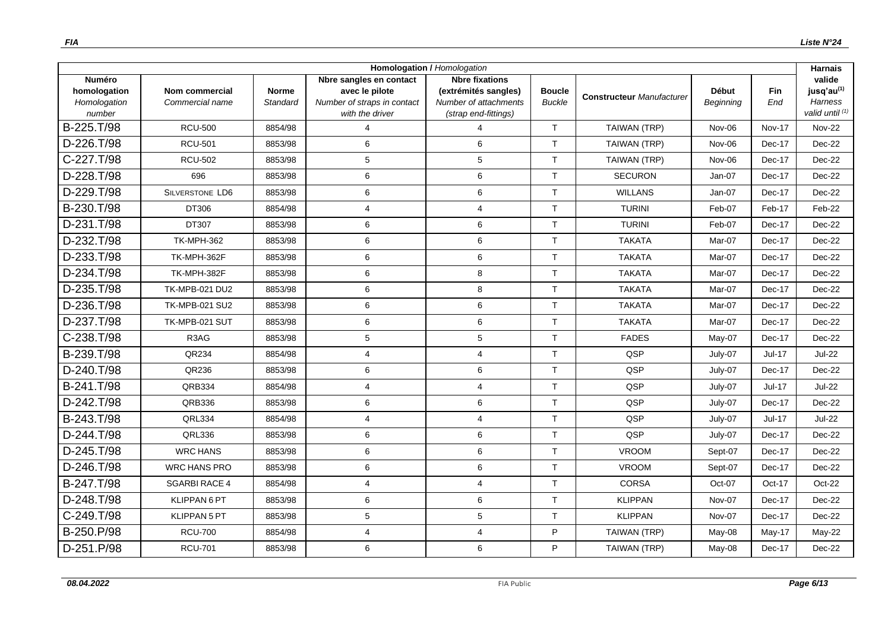|                                                         |                                   |                          |                                                                                             | <b>Homologation / Homologation</b>                                                             |                                |                                  |                                  |               | <b>Harnais</b>                                                 |
|---------------------------------------------------------|-----------------------------------|--------------------------|---------------------------------------------------------------------------------------------|------------------------------------------------------------------------------------------------|--------------------------------|----------------------------------|----------------------------------|---------------|----------------------------------------------------------------|
| <b>Numéro</b><br>homologation<br>Homologation<br>number | Nom commercial<br>Commercial name | <b>Norme</b><br>Standard | Nbre sangles en contact<br>avec le pilote<br>Number of straps in contact<br>with the driver | <b>Nbre fixations</b><br>(extrémités sangles)<br>Number of attachments<br>(strap end-fittings) | <b>Boucle</b><br><b>Buckle</b> | <b>Constructeur Manufacturer</b> | <b>Début</b><br><b>Beginning</b> | Fin<br>End    | valide<br>jusq'au <sup>(1)</sup><br>Harness<br>valid until (1) |
| B-225.T/98                                              | <b>RCU-500</b>                    | 8854/98                  | 4                                                                                           | $\boldsymbol{\Delta}$                                                                          | T                              | TAIWAN (TRP)                     | Nov-06                           | <b>Nov-17</b> | <b>Nov-22</b>                                                  |
| D-226.T/98                                              | <b>RCU-501</b>                    | 8853/98                  | 6                                                                                           | 6                                                                                              | T                              | TAIWAN (TRP)                     | Nov-06                           | Dec-17        | Dec-22                                                         |
| C-227.T/98                                              | <b>RCU-502</b>                    | 8853/98                  | 5                                                                                           | 5                                                                                              | $\mathsf{T}$                   | TAIWAN (TRP)                     | Nov-06                           | Dec-17        | Dec-22                                                         |
| D-228.T/98                                              | 696                               | 8853/98                  | 6                                                                                           | $\,6\,$                                                                                        | $\mathsf{T}$                   | <b>SECURON</b>                   | Jan-07                           | Dec-17        | Dec-22                                                         |
| D-229.T/98                                              | <b>SILVERSTONE LD6</b>            | 8853/98                  | 6                                                                                           | $\,6\,$                                                                                        | T                              | <b>WILLANS</b>                   | Jan-07                           | Dec-17        | Dec-22                                                         |
| B-230.T/98                                              | DT306                             | 8854/98                  | 4                                                                                           | $\overline{4}$                                                                                 | T                              | <b>TURINI</b>                    | Feb-07                           | Feb-17        | Feb-22                                                         |
| D-231.T/98                                              | DT307                             | 8853/98                  | 6                                                                                           | 6                                                                                              | T                              | <b>TURINI</b>                    | Feb-07                           | Dec-17        | Dec-22                                                         |
| D-232.T/98                                              | <b>TK-MPH-362</b>                 | 8853/98                  | 6                                                                                           | 6                                                                                              | $\mathsf{T}$                   | <b>TAKATA</b>                    | Mar-07                           | Dec-17        | Dec-22                                                         |
| D-233.T/98                                              | TK-MPH-362F                       | 8853/98                  | 6                                                                                           | $\,6\,$                                                                                        | $\mathsf{T}$                   | <b>TAKATA</b>                    | Mar-07                           | Dec-17        | Dec-22                                                         |
| D-234.T/98                                              | TK-MPH-382F                       | 8853/98                  | 6                                                                                           | 8                                                                                              | T                              | <b>TAKATA</b>                    | Mar-07                           | Dec-17        | Dec-22                                                         |
| D-235.T/98                                              | <b>TK-MPB-021 DU2</b>             | 8853/98                  | 6                                                                                           | 8                                                                                              | T                              | <b>TAKATA</b>                    | Mar-07                           | Dec-17        | Dec-22                                                         |
| D-236.T/98                                              | <b>TK-MPB-021 SU2</b>             | 8853/98                  | 6                                                                                           | $\,6$                                                                                          | $\mathsf{T}$                   | <b>TAKATA</b>                    | Mar-07                           | Dec-17        | Dec-22                                                         |
| D-237.T/98                                              | TK-MPB-021 SUT                    | 8853/98                  | 6                                                                                           | 6                                                                                              | $\mathsf{T}$                   | <b>TAKATA</b>                    | Mar-07                           | Dec-17        | Dec-22                                                         |
| C-238.T/98                                              | R3AG                              | 8853/98                  | 5                                                                                           | $\,$ 5 $\,$                                                                                    | T                              | <b>FADES</b>                     | May-07                           | Dec-17        | Dec-22                                                         |
| B-239.T/98                                              | QR234                             | 8854/98                  | 4                                                                                           | $\overline{4}$                                                                                 | $\mathsf{T}$                   | QSP                              | July-07                          | Jul-17        | <b>Jul-22</b>                                                  |
| D-240.T/98                                              | QR236                             | 8853/98                  | 6                                                                                           | 6                                                                                              | T                              | QSP                              | July-07                          | Dec-17        | Dec-22                                                         |
| B-241.T/98                                              | QRB334                            | 8854/98                  | 4                                                                                           | $\overline{4}$                                                                                 | T                              | QSP                              | July-07                          | Jul-17        | Jul-22                                                         |
| D-242.T/98                                              | QRB336                            | 8853/98                  | 6                                                                                           | 6                                                                                              | $\mathsf{T}$                   | QSP                              | July-07                          | Dec-17        | Dec-22                                                         |
| B-243.T/98                                              | QRL334                            | 8854/98                  | 4                                                                                           | $\overline{4}$                                                                                 | $\mathsf{T}$                   | QSP                              | July-07                          | Jul-17        | <b>Jul-22</b>                                                  |
| D-244.T/98                                              | QRL336                            | 8853/98                  | 6                                                                                           | $\,6\,$                                                                                        | $\mathsf{T}$                   | QSP                              | July-07                          | Dec-17        | Dec-22                                                         |
| D-245.T/98                                              | <b>WRC HANS</b>                   | 8853/98                  | 6                                                                                           | 6                                                                                              | $\mathsf{T}$                   | <b>VROOM</b>                     | Sept-07                          | Dec-17        | Dec-22                                                         |
| D-246.T/98                                              | <b>WRC HANS PRO</b>               | 8853/98                  | 6                                                                                           | $\,6$                                                                                          | T                              | <b>VROOM</b>                     | Sept-07                          | Dec-17        | $Dec-22$                                                       |
| B-247.T/98                                              | <b>SGARBI RACE 4</b>              | 8854/98                  | 4                                                                                           | $\overline{4}$                                                                                 | $\mathsf{T}$                   | <b>CORSA</b>                     | Oct-07                           | Oct-17        | Oct-22                                                         |
| D-248.T/98                                              | KLIPPAN 6 PT                      | 8853/98                  | 6                                                                                           | 6                                                                                              | $\mathsf{T}$                   | <b>KLIPPAN</b>                   | Nov-07                           | Dec-17        | Dec-22                                                         |
| C-249.T/98                                              | KLIPPAN 5 PT                      | 8853/98                  | 5                                                                                           | $\,$ 5 $\,$                                                                                    | $\mathsf{T}$                   | <b>KLIPPAN</b>                   | Nov-07                           | Dec-17        | Dec-22                                                         |
| B-250.P/98                                              | <b>RCU-700</b>                    | 8854/98                  | 4                                                                                           | $\overline{4}$                                                                                 | P                              | TAIWAN (TRP)                     | May-08                           | $May-17$      | May-22                                                         |
| D-251.P/98                                              | <b>RCU-701</b>                    | 8853/98                  | 6                                                                                           | 6                                                                                              | P                              | TAIWAN (TRP)                     | May-08                           | Dec-17        | Dec-22                                                         |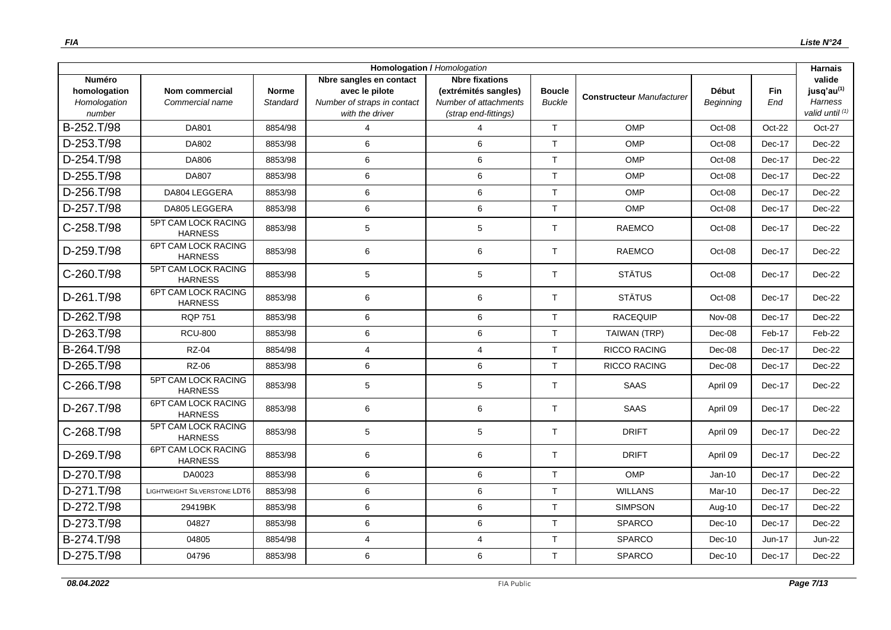| Homologation / Homologation                             |                                              |                          |                                                                                             |                                                                                                |                                |                                  |                           |            | <b>Harnais</b>                                                        |
|---------------------------------------------------------|----------------------------------------------|--------------------------|---------------------------------------------------------------------------------------------|------------------------------------------------------------------------------------------------|--------------------------------|----------------------------------|---------------------------|------------|-----------------------------------------------------------------------|
| <b>Numéro</b><br>homologation<br>Homologation<br>number | Nom commercial<br>Commercial name            | <b>Norme</b><br>Standard | Nbre sangles en contact<br>avec le pilote<br>Number of straps in contact<br>with the driver | <b>Nbre fixations</b><br>(extrémités sangles)<br>Number of attachments<br>(strap end-fittings) | <b>Boucle</b><br><b>Buckle</b> | <b>Constructeur Manufacturer</b> | <b>Début</b><br>Beginning | Fin<br>End | valide<br>jusq'au <sup>(1)</sup><br><b>Harness</b><br>valid until (1) |
| B-252.T/98                                              | <b>DA801</b>                                 | 8854/98                  | $\overline{4}$                                                                              | 4                                                                                              | T                              | OMP                              | Oct-08                    | Oct-22     | Oct-27                                                                |
| D-253.T/98                                              | DA802                                        | 8853/98                  | 6                                                                                           | 6                                                                                              | T                              | OMP                              | Oct-08                    | Dec-17     | Dec-22                                                                |
| D-254.T/98                                              | DA806                                        | 8853/98                  | 6                                                                                           | $\,6\,$                                                                                        | T                              | OMP                              | Oct-08                    | Dec-17     | Dec-22                                                                |
| D-255.T/98                                              | DA807                                        | 8853/98                  | 6                                                                                           | 6                                                                                              | T                              | <b>OMP</b>                       | Oct-08                    | Dec-17     | Dec-22                                                                |
| D-256.T/98                                              | DA804 LEGGERA                                | 8853/98                  | 6                                                                                           | $\,6\,$                                                                                        | $\mathsf{T}$                   | OMP                              | Oct-08                    | Dec-17     | Dec-22                                                                |
| D-257.T/98                                              | DA805 LEGGERA                                | 8853/98                  | 6                                                                                           | 6                                                                                              | T                              | OMP                              | Oct-08                    | Dec-17     | Dec-22                                                                |
| C-258.T/98                                              | 5PT CAM LOCK RACING<br><b>HARNESS</b>        | 8853/98                  | $\mathbf 5$                                                                                 | $\,$ 5 $\,$                                                                                    | $\mathsf{T}$                   | <b>RAEMCO</b>                    | Oct-08                    | Dec-17     | Dec-22                                                                |
| D-259.T/98                                              | 6PT CAM LOCK RACING<br><b>HARNESS</b>        | 8853/98                  | 6                                                                                           | 6                                                                                              | $\mathsf{T}$                   | <b>RAEMCO</b>                    | Oct-08                    | Dec-17     | Dec-22                                                                |
| C-260.T/98                                              | 5PT CAM LOCK RACING<br><b>HARNESS</b>        | 8853/98                  | 5                                                                                           | 5                                                                                              | T                              | <b>STÄTUS</b>                    | Oct-08                    | Dec-17     | Dec-22                                                                |
| D-261.T/98                                              | <b>6PT CAM LOCK RACING</b><br><b>HARNESS</b> | 8853/98                  | 6                                                                                           | 6                                                                                              | T                              | <b>STÄTUS</b>                    | Oct-08                    | Dec-17     | Dec-22                                                                |
| D-262.T/98                                              | <b>RQP 751</b>                               | 8853/98                  | 6                                                                                           | 6                                                                                              | T                              | <b>RACEQUIP</b>                  | Nov-08                    | Dec-17     | Dec-22                                                                |
| D-263.T/98                                              | <b>RCU-800</b>                               | 8853/98                  | 6                                                                                           | 6                                                                                              | T                              | TAIWAN (TRP)                     | Dec-08                    | Feb-17     | Feb-22                                                                |
| B-264.T/98                                              | <b>RZ-04</b>                                 | 8854/98                  | $\overline{4}$                                                                              | $\overline{4}$                                                                                 | $\mathsf{T}$                   | <b>RICCO RACING</b>              | Dec-08                    | Dec-17     | Dec-22                                                                |
| D-265.T/98                                              | <b>RZ-06</b>                                 | 8853/98                  | 6                                                                                           | 6                                                                                              | T                              | <b>RICCO RACING</b>              | Dec-08                    | Dec-17     | Dec-22                                                                |
| C-266.T/98                                              | 5PT CAM LOCK RACING<br><b>HARNESS</b>        | 8853/98                  | 5                                                                                           | 5                                                                                              | T                              | <b>SAAS</b>                      | April 09                  | Dec-17     | Dec-22                                                                |
| D-267.T/98                                              | 6PT CAM LOCK RACING<br><b>HARNESS</b>        | 8853/98                  | $\,6$                                                                                       | $\,6\,$                                                                                        | T                              | <b>SAAS</b>                      | April 09                  | Dec-17     | Dec-22                                                                |
| C-268.T/98                                              | 5PT CAM LOCK RACING<br><b>HARNESS</b>        | 8853/98                  | 5                                                                                           | $\,$ 5 $\,$                                                                                    | T                              | <b>DRIFT</b>                     | April 09                  | Dec-17     | Dec-22                                                                |
| D-269.T/98                                              | <b>6PT CAM LOCK RACING</b><br><b>HARNESS</b> | 8853/98                  | 6                                                                                           | 6                                                                                              | T                              | <b>DRIFT</b>                     | April 09                  | Dec-17     | Dec-22                                                                |
| D-270.T/98                                              | DA0023                                       | 8853/98                  | 6                                                                                           | 6                                                                                              | T                              | OMP                              | $Jan-10$                  | Dec-17     | Dec-22                                                                |
| D-271.T/98                                              | LIGHTWEIGHT SILVERSTONE LDT6                 | 8853/98                  | 6                                                                                           | 6                                                                                              | $\mathsf{T}$                   | <b>WILLANS</b>                   | Mar-10                    | Dec-17     | Dec-22                                                                |
| D-272.T/98                                              | 29419BK                                      | 8853/98                  | 6                                                                                           | $\,6\,$                                                                                        | T                              | <b>SIMPSON</b>                   | Aug-10                    | Dec-17     | Dec-22                                                                |
| D-273.T/98                                              | 04827                                        | 8853/98                  | 6                                                                                           | $\,6\,$                                                                                        | T                              | <b>SPARCO</b>                    | Dec-10                    | Dec-17     | Dec-22                                                                |
| B-274.T/98                                              | 04805                                        | 8854/98                  | $\overline{4}$                                                                              | $\overline{4}$                                                                                 | T                              | <b>SPARCO</b>                    | $Dec-10$                  | $Jun-17$   | <b>Jun-22</b>                                                         |
| D-275.T/98                                              | 04796                                        | 8853/98                  | 6                                                                                           | 6                                                                                              | $\mathsf{T}$                   | <b>SPARCO</b>                    | $Dec-10$                  | Dec-17     | Dec-22                                                                |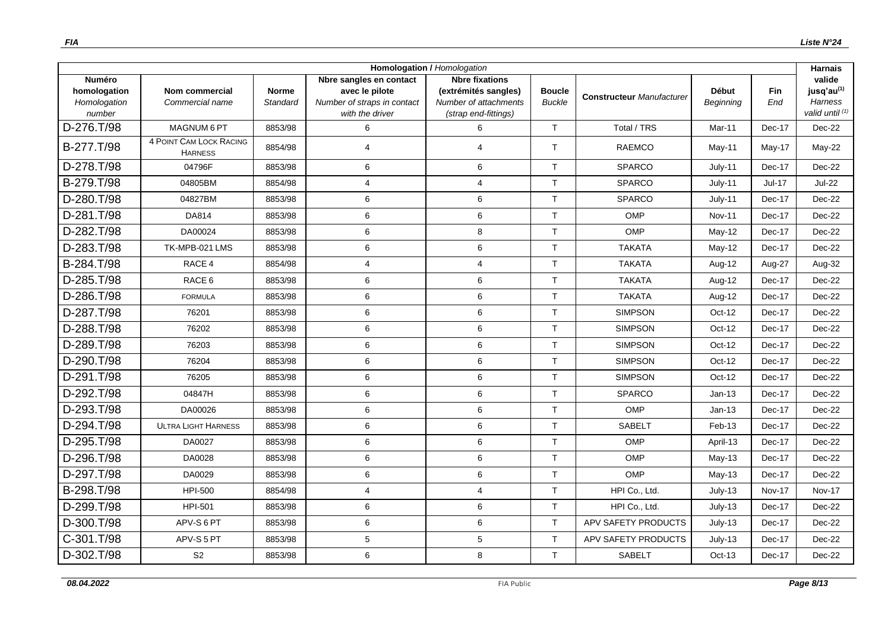| Homologation / Homologation                             |                                           |                          |                                                                                             |                                                                                                |                                |                                  |                           |                   | <b>Harnais</b>                                                        |
|---------------------------------------------------------|-------------------------------------------|--------------------------|---------------------------------------------------------------------------------------------|------------------------------------------------------------------------------------------------|--------------------------------|----------------------------------|---------------------------|-------------------|-----------------------------------------------------------------------|
| <b>Numéro</b><br>homologation<br>Homologation<br>number | <b>Nom commercial</b><br>Commercial name  | <b>Norme</b><br>Standard | Nbre sangles en contact<br>avec le pilote<br>Number of straps in contact<br>with the driver | <b>Nbre fixations</b><br>(extrémités sangles)<br>Number of attachments<br>(strap end-fittings) | <b>Boucle</b><br><b>Buckle</b> | <b>Constructeur Manufacturer</b> | <b>Début</b><br>Beginning | <b>Fin</b><br>End | valide<br>jusq'au <sup>(1)</sup><br><b>Harness</b><br>valid until (1) |
| D-276.T/98                                              | MAGNUM 6 PT                               | 8853/98                  | 6                                                                                           | 6                                                                                              | $\mathsf{T}$                   | Total / TRS                      | Mar-11                    | Dec-17            | $Dec-22$                                                              |
| B-277.T/98                                              | 4 POINT CAM LOCK RACING<br><b>HARNESS</b> | 8854/98                  | 4                                                                                           | $\overline{4}$                                                                                 | $\mathsf{T}$                   | <b>RAEMCO</b>                    | $May-11$                  | $May-17$          | May-22                                                                |
| D-278.T/98                                              | 04796F                                    | 8853/98                  | 6                                                                                           | $\,6\,$                                                                                        | $\mathsf{T}$                   | <b>SPARCO</b>                    | $July-11$                 | Dec-17            | Dec-22                                                                |
| B-279.T/98                                              | 04805BM                                   | 8854/98                  | 4                                                                                           | $\overline{4}$                                                                                 | $\mathsf{T}$                   | <b>SPARCO</b>                    | July-11                   | Jul-17            | <b>Jul-22</b>                                                         |
| D-280.T/98                                              | 04827BM                                   | 8853/98                  | 6                                                                                           | $\,6\,$                                                                                        | $\mathsf{T}$                   | SPARCO                           | July-11                   | Dec-17            | Dec-22                                                                |
| D-281.T/98                                              | DA814                                     | 8853/98                  | 6                                                                                           | $\,6\,$                                                                                        | T                              | OMP                              | <b>Nov-11</b>             | Dec-17            | $Dec-22$                                                              |
| D-282.T/98                                              | DA00024                                   | 8853/98                  | 6                                                                                           | $\,8\,$                                                                                        | $\mathsf{T}$                   | OMP                              | $May-12$                  | Dec-17            | Dec-22                                                                |
| D-283.T/98                                              | TK-MPB-021 LMS                            | 8853/98                  | 6                                                                                           | 6                                                                                              | $\mathsf{T}$                   | <b>TAKATA</b>                    | May-12                    | Dec-17            | Dec-22                                                                |
| B-284.T/98                                              | RACE 4                                    | 8854/98                  | 4                                                                                           | $\overline{4}$                                                                                 | $\mathsf{T}$                   | <b>TAKATA</b>                    | Aug-12                    | Aug-27            | Aug-32                                                                |
| D-285.T/98                                              | RACE 6                                    | 8853/98                  | 6                                                                                           | 6                                                                                              | $\mathsf{T}$                   | <b>TAKATA</b>                    | Aug-12                    | Dec-17            | Dec-22                                                                |
| D-286.T/98                                              | <b>FORMULA</b>                            | 8853/98                  | 6                                                                                           | 6                                                                                              | $\mathsf{T}$                   | <b>TAKATA</b>                    | Aug-12                    | Dec-17            | Dec-22                                                                |
| D-287.T/98                                              | 76201                                     | 8853/98                  | 6                                                                                           | 6                                                                                              | $\mathsf{T}$                   | <b>SIMPSON</b>                   | Oct-12                    | Dec-17            | Dec-22                                                                |
| D-288.T/98                                              | 76202                                     | 8853/98                  | 6                                                                                           | 6                                                                                              | $\mathsf{T}$                   | <b>SIMPSON</b>                   | Oct-12                    | Dec-17            | Dec-22                                                                |
| D-289.T/98                                              | 76203                                     | 8853/98                  | 6                                                                                           | $\,6\,$                                                                                        | $\mathsf{T}$                   | <b>SIMPSON</b>                   | Oct-12                    | Dec-17            | Dec-22                                                                |
| D-290.T/98                                              | 76204                                     | 8853/98                  | 6                                                                                           | 6                                                                                              | $\mathsf{T}$                   | <b>SIMPSON</b>                   | Oct-12                    | Dec-17            | Dec-22                                                                |
| D-291.T/98                                              | 76205                                     | 8853/98                  | 6                                                                                           | 6                                                                                              | $\mathsf{T}$                   | <b>SIMPSON</b>                   | Oct-12                    | Dec-17            | Dec-22                                                                |
| D-292.T/98                                              | 04847H                                    | 8853/98                  | 6                                                                                           | 6                                                                                              | $\mathsf{T}$                   | SPARCO                           | $Jan-13$                  | Dec-17            | Dec-22                                                                |
| D-293.T/98                                              | DA00026                                   | 8853/98                  | 6                                                                                           | $\,6\,$                                                                                        | $\mathsf{T}$                   | OMP                              | $Jan-13$                  | Dec-17            | Dec-22                                                                |
| D-294.T/98                                              | <b>ULTRA LIGHT HARNESS</b>                | 8853/98                  | 6                                                                                           | $\,6\,$                                                                                        | $\mathsf{T}$                   | <b>SABELT</b>                    | Feb-13                    | Dec-17            | Dec-22                                                                |
| D-295.T/98                                              | DA0027                                    | 8853/98                  | 6                                                                                           | 6                                                                                              | $\mathsf{T}$                   | OMP                              | April-13                  | Dec-17            | $Dec-22$                                                              |
| D-296.T/98                                              | DA0028                                    | 8853/98                  | 6                                                                                           | 6                                                                                              | $\mathsf{T}$                   | <b>OMP</b>                       | $May-13$                  | Dec-17            | Dec-22                                                                |
| D-297.T/98                                              | DA0029                                    | 8853/98                  | 6                                                                                           | $\,6\,$                                                                                        | $\top$                         | OMP                              | $May-13$                  | Dec-17            | Dec-22                                                                |
| B-298.T/98                                              | <b>HPI-500</b>                            | 8854/98                  | 4                                                                                           | $\overline{4}$                                                                                 | T                              | HPI Co., Ltd.                    | July-13                   | <b>Nov-17</b>     | <b>Nov-17</b>                                                         |
| D-299.T/98                                              | HPI-501                                   | 8853/98                  | 6                                                                                           | 6                                                                                              | T                              | HPI Co., Ltd.                    | July-13                   | Dec-17            | Dec-22                                                                |
| D-300.T/98                                              | APV-S6PT                                  | 8853/98                  | 6                                                                                           | 6                                                                                              | $\mathsf{T}$                   | APV SAFETY PRODUCTS              | July-13                   | Dec-17            | Dec-22                                                                |
| C-301.T/98                                              | APV-S5PT                                  | 8853/98                  | 5                                                                                           | $\sqrt{5}$                                                                                     | $\mathsf{T}$                   | <b>APV SAFETY PRODUCTS</b>       | July-13                   | Dec-17            | Dec-22                                                                |
| D-302.T/98                                              | S <sub>2</sub>                            | 8853/98                  | 6                                                                                           | 8                                                                                              | T                              | <b>SABELT</b>                    | Oct-13                    | Dec-17            | Dec-22                                                                |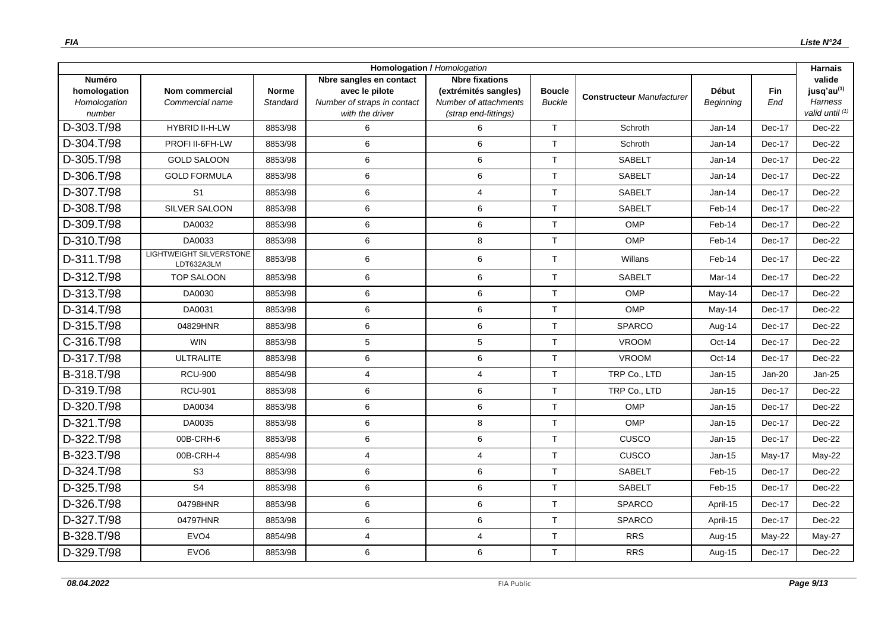| <b>Homologation / Homologation</b>                      |                                              |                          |                                                                                             |                                                                                                |                                |                                  |                           |                   | <b>Harnais</b>                                                        |
|---------------------------------------------------------|----------------------------------------------|--------------------------|---------------------------------------------------------------------------------------------|------------------------------------------------------------------------------------------------|--------------------------------|----------------------------------|---------------------------|-------------------|-----------------------------------------------------------------------|
| <b>Numéro</b><br>homologation<br>Homologation<br>number | <b>Nom commercial</b><br>Commercial name     | <b>Norme</b><br>Standard | Nbre sangles en contact<br>avec le pilote<br>Number of straps in contact<br>with the driver | <b>Nbre fixations</b><br>(extrémités sangles)<br>Number of attachments<br>(strap end-fittings) | <b>Boucle</b><br><b>Buckle</b> | <b>Constructeur Manufacturer</b> | <b>Début</b><br>Beginning | <b>Fin</b><br>End | valide<br>jusq'au <sup>(1)</sup><br><b>Harness</b><br>valid until (1) |
| D-303.T/98                                              | <b>HYBRID II-H-LW</b>                        | 8853/98                  | 6                                                                                           | 6                                                                                              | $\mathsf{T}$                   | Schroth                          | Jan-14                    | Dec-17            | Dec-22                                                                |
| D-304.T/98                                              | PROFI II-6FH-LW                              | 8853/98                  | 6                                                                                           | 6                                                                                              | T                              | Schroth                          | $Jan-14$                  | Dec-17            | $Dec-22$                                                              |
| D-305.T/98                                              | <b>GOLD SALOON</b>                           | 8853/98                  | 6                                                                                           | $\,6\,$                                                                                        | $\mathsf{T}$                   | <b>SABELT</b>                    | Jan-14                    | Dec-17            | Dec-22                                                                |
| D-306.T/98                                              | <b>GOLD FORMULA</b>                          | 8853/98                  | 6                                                                                           | 6                                                                                              | T                              | <b>SABELT</b>                    | Jan-14                    | Dec-17            | Dec-22                                                                |
| D-307.T/98                                              | S <sub>1</sub>                               | 8853/98                  | 6                                                                                           | $\overline{4}$                                                                                 | $\mathsf{T}$                   | <b>SABELT</b>                    | $Jan-14$                  | Dec-17            | Dec-22                                                                |
| D-308.T/98                                              | <b>SILVER SALOON</b>                         | 8853/98                  | 6                                                                                           | 6                                                                                              | $\mathsf{T}$                   | <b>SABELT</b>                    | Feb-14                    | Dec-17            | Dec-22                                                                |
| D-309.T/98                                              | DA0032                                       | 8853/98                  | 6                                                                                           | $\,6$                                                                                          | T                              | OMP                              | Feb-14                    | Dec-17            | Dec-22                                                                |
| D-310.T/98                                              | DA0033                                       | 8853/98                  | 6                                                                                           | 8                                                                                              | $\mathsf{T}$                   | <b>OMP</b>                       | Feb-14                    | Dec-17            | Dec-22                                                                |
| D-311.T/98                                              | <b>LIGHTWEIGHT SILVERSTONE</b><br>LDT632A3LM | 8853/98                  | 6                                                                                           | 6                                                                                              | $\mathsf{T}$                   | Willans                          | Feb-14                    | Dec-17            | Dec-22                                                                |
| D-312.T/98                                              | <b>TOP SALOON</b>                            | 8853/98                  | 6                                                                                           | 6                                                                                              | T                              | <b>SABELT</b>                    | Mar-14                    | Dec-17            | Dec-22                                                                |
| D-313.T/98                                              | DA0030                                       | 8853/98                  | 6                                                                                           | $\,6$                                                                                          | $\mathsf{T}$                   | <b>OMP</b>                       | May-14                    | Dec-17            | Dec-22                                                                |
| D-314.T/98                                              | DA0031                                       | 8853/98                  | 6                                                                                           | 6                                                                                              | T                              | OMP                              | May-14                    | Dec-17            | Dec-22                                                                |
| D-315.T/98                                              | 04829HNR                                     | 8853/98                  | 6                                                                                           | 6                                                                                              | $\mathsf{T}$                   | SPARCO                           | Aug-14                    | Dec-17            | Dec-22                                                                |
| C-316.T/98                                              | <b>WIN</b>                                   | 8853/98                  | 5                                                                                           | 5                                                                                              | T                              | <b>VROOM</b>                     | Oct-14                    | Dec-17            | $Dec-22$                                                              |
| D-317.T/98                                              | <b>ULTRALITE</b>                             | 8853/98                  | 6                                                                                           | 6                                                                                              | T                              | <b>VROOM</b>                     | Oct-14                    | Dec-17            | Dec-22                                                                |
| B-318.T/98                                              | <b>RCU-900</b>                               | 8854/98                  | 4                                                                                           | $\overline{4}$                                                                                 | T                              | TRP Co., LTD                     | $Jan-15$                  | Jan-20            | $Jan-25$                                                              |
| D-319.T/98                                              | <b>RCU-901</b>                               | 8853/98                  | 6                                                                                           | 6                                                                                              | $\mathsf{T}$                   | TRP Co., LTD                     | $Jan-15$                  | Dec-17            | Dec-22                                                                |
| D-320.T/98                                              | DA0034                                       | 8853/98                  | 6                                                                                           | 6                                                                                              | $\mathsf{T}$                   | OMP                              | Jan-15                    | Dec-17            | Dec-22                                                                |
| D-321.T/98                                              | DA0035                                       | 8853/98                  | 6                                                                                           | 8                                                                                              | T                              | <b>OMP</b>                       | $Jan-15$                  | Dec-17            | Dec-22                                                                |
| D-322.T/98                                              | 00B-CRH-6                                    | 8853/98                  | 6                                                                                           | 6                                                                                              | T                              | CUSCO                            | Jan-15                    | Dec-17            | Dec-22                                                                |
| B-323.T/98                                              | 00B-CRH-4                                    | 8854/98                  | 4                                                                                           | $\overline{4}$                                                                                 | $\mathsf{T}$                   | CUSCO                            | $Jan-15$                  | $May-17$          | May-22                                                                |
| D-324.T/98                                              | S <sub>3</sub>                               | 8853/98                  | 6                                                                                           | $\,6\,$                                                                                        | $\mathsf{T}$                   | <b>SABELT</b>                    | Feb-15                    | Dec-17            | Dec-22                                                                |
| D-325.T/98                                              | S <sub>4</sub>                               | 8853/98                  | 6                                                                                           | 6                                                                                              | $\mathsf{T}$                   | <b>SABELT</b>                    | Feb-15                    | Dec-17            | Dec-22                                                                |
| D-326.T/98                                              | 04798HNR                                     | 8853/98                  | 6                                                                                           | $\,6$                                                                                          | $\mathsf{T}$                   | <b>SPARCO</b>                    | April-15                  | Dec-17            | Dec-22                                                                |
| D-327.T/98                                              | 04797HNR                                     | 8853/98                  | 6                                                                                           | 6                                                                                              | T                              | SPARCO                           | April-15                  | Dec-17            | Dec-22                                                                |
| B-328.T/98                                              | EVO <sub>4</sub>                             | 8854/98                  | 4                                                                                           | $\overline{4}$                                                                                 | $\mathsf{T}$                   | <b>RRS</b>                       | Aug-15                    | $May-22$          | May-27                                                                |
| D-329.T/98                                              | EVO <sub>6</sub>                             | 8853/98                  | 6                                                                                           | 6                                                                                              | $\mathsf{T}$                   | <b>RRS</b>                       | Aug-15                    | Dec-17            | Dec-22                                                                |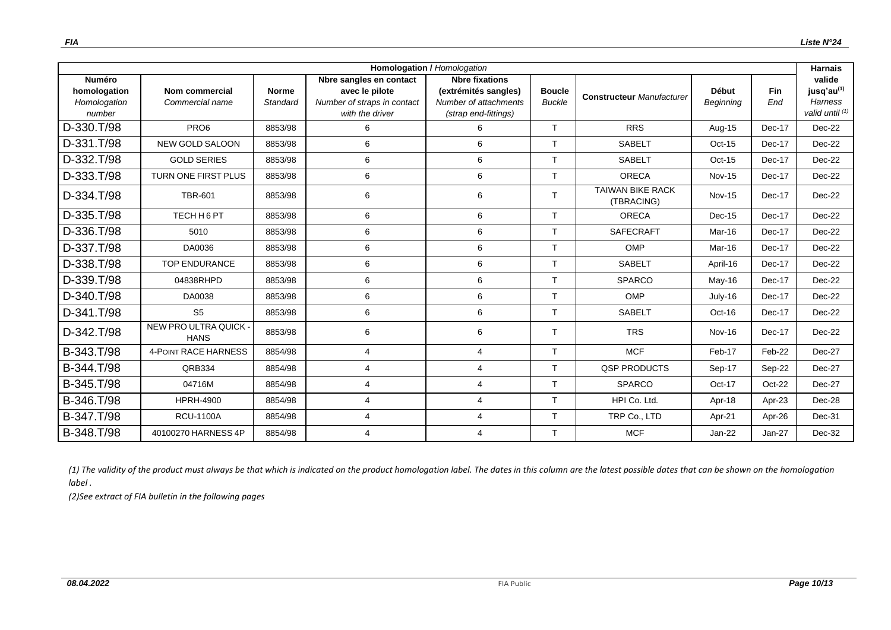|                                                         |                                      |                          |                                                                                             | <b>Homologation / Homologation</b>                                                             |                                |                                       |                           |                   | <b>Harnais</b>                                                        |
|---------------------------------------------------------|--------------------------------------|--------------------------|---------------------------------------------------------------------------------------------|------------------------------------------------------------------------------------------------|--------------------------------|---------------------------------------|---------------------------|-------------------|-----------------------------------------------------------------------|
| <b>Numéro</b><br>homologation<br>Homologation<br>number | Nom commercial<br>Commercial name    | <b>Norme</b><br>Standard | Nbre sangles en contact<br>avec le pilote<br>Number of straps in contact<br>with the driver | <b>Nbre fixations</b><br>(extrémités sangles)<br>Number of attachments<br>(strap end-fittings) | <b>Boucle</b><br><b>Buckle</b> | <b>Constructeur Manufacturer</b>      | <b>Début</b><br>Beginning | <b>Fin</b><br>End | valide<br>jusq'au <sup>(1)</sup><br><b>Harness</b><br>valid until (1) |
| D-330.T/98                                              | PRO <sub>6</sub>                     | 8853/98                  | 6                                                                                           | 6                                                                                              | T.                             | <b>RRS</b>                            | Aug-15                    | Dec-17            | Dec-22                                                                |
| D-331.T/98                                              | <b>NEW GOLD SALOON</b>               | 8853/98                  | 6                                                                                           | 6                                                                                              | T                              | <b>SABELT</b>                         | $Oct-15$                  | Dec-17            | Dec-22                                                                |
| D-332.T/98                                              | <b>GOLD SERIES</b>                   | 8853/98                  | 6                                                                                           | 6                                                                                              | $\mathsf{T}$                   | <b>SABELT</b>                         | $Oct-15$                  | Dec-17            | Dec-22                                                                |
| D-333.T/98                                              | <b>TURN ONE FIRST PLUS</b>           | 8853/98                  | 6                                                                                           | 6                                                                                              | $\mathsf{T}$                   | <b>ORECA</b>                          | <b>Nov-15</b>             | Dec-17            | Dec-22                                                                |
| D-334.T/98                                              | <b>TBR-601</b>                       | 8853/98                  | 6                                                                                           | 6                                                                                              | T.                             | <b>TAIWAN BIKE RACK</b><br>(TBRACING) | <b>Nov-15</b>             | Dec-17            | Dec-22                                                                |
| D-335.T/98                                              | TECH H 6 PT                          | 8853/98                  | 6                                                                                           | 6                                                                                              | T.                             | <b>ORECA</b>                          | $Dec-15$                  | Dec-17            | Dec-22                                                                |
| D-336.T/98                                              | 5010                                 | 8853/98                  | 6                                                                                           | 6                                                                                              | T                              | SAFECRAFT                             | Mar-16                    | Dec-17            | Dec-22                                                                |
| D-337.T/98                                              | DA0036                               | 8853/98                  | 6                                                                                           | 6                                                                                              | $\mathsf{T}$                   | OMP                                   | Mar-16                    | Dec-17            | Dec-22                                                                |
| D-338.T/98                                              | <b>TOP ENDURANCE</b>                 | 8853/98                  | 6                                                                                           | 6                                                                                              | T                              | <b>SABELT</b>                         | April-16                  | Dec-17            | Dec-22                                                                |
| D-339.T/98                                              | 04838RHPD                            | 8853/98                  | 6                                                                                           | 6                                                                                              | T.                             | <b>SPARCO</b>                         | May-16                    | Dec-17            | Dec-22                                                                |
| D-340.T/98                                              | DA0038                               | 8853/98                  | 6                                                                                           | 6                                                                                              | $\mathsf{T}$                   | OMP                                   | July-16                   | Dec-17            | Dec-22                                                                |
| D-341.T/98                                              | S <sub>5</sub>                       | 8853/98                  | 6                                                                                           | 6                                                                                              | T.                             | <b>SABELT</b>                         | Oct-16                    | Dec-17            | Dec-22                                                                |
| D-342.T/98                                              | NEW PRO ULTRA QUICK -<br><b>HANS</b> | 8853/98                  | 6                                                                                           | 6                                                                                              | Т                              | <b>TRS</b>                            | <b>Nov-16</b>             | Dec-17            | Dec-22                                                                |
| B-343.T/98                                              | <b>4-POINT RACE HARNESS</b>          | 8854/98                  | $\overline{4}$                                                                              | $\overline{4}$                                                                                 | T                              | <b>MCF</b>                            | Feb-17                    | Feb-22            | Dec-27                                                                |
| B-344.T/98                                              | QRB334                               | 8854/98                  | 4                                                                                           | $\overline{4}$                                                                                 | T                              | <b>QSP PRODUCTS</b>                   | Sep-17                    | Sep-22            | Dec-27                                                                |
| B-345.T/98                                              | 04716M                               | 8854/98                  | 4                                                                                           | 4                                                                                              | T                              | <b>SPARCO</b>                         | Oct-17                    | Oct-22            | Dec-27                                                                |
| B-346.T/98                                              | <b>HPRH-4900</b>                     | 8854/98                  | $\overline{4}$                                                                              | 4                                                                                              | T                              | HPI Co. Ltd.                          | Apr-18                    | Apr-23            | Dec-28                                                                |
| B-347.T/98                                              | <b>RCU-1100A</b>                     | 8854/98                  | 4                                                                                           | $\overline{4}$                                                                                 | T.                             | TRP Co., LTD                          | Apr-21                    | Apr-26            | Dec-31                                                                |
| B-348.T/98                                              | 40100270 HARNESS 4P                  | 8854/98                  | 4                                                                                           | 4                                                                                              | T                              | <b>MCF</b>                            | $Jan-22$                  | Jan-27            | Dec-32                                                                |

*(1) The validity of the product must always be that which is indicated on the product homologation label. The dates in this column are the latest possible dates that can be shown on the homologation label .*

*(2)See extract of FIA bulletin in the following pages*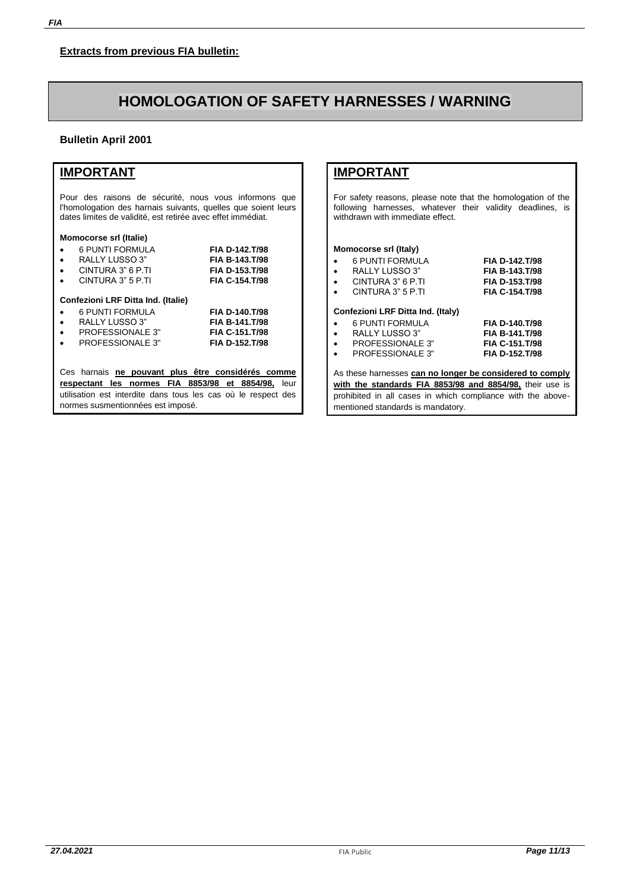# **HOMOLOGATION OF SAFETY HARNESSES / WARNING**

### **Bulletin April 2001**

## **IMPORTANT**

Pour des raisons de sécurité, nous vous informons que l'homologation des harnais suivants, quelles que soient leurs dates limites de validité, est retirée avec effet immédiat.

#### **Momocorse srl (Italie)**

|           | 6 PUNTI FORMULA                                               | FIA D-142.T/98        |      |
|-----------|---------------------------------------------------------------|-----------------------|------|
|           | RALLY LUSSO 3"                                                | FIA B-143.T/98        |      |
|           | CINTURA 3" 6 P.TI                                             | <b>FIA D-153.T/98</b> |      |
|           | CINTURA 3" 5 P.TI                                             | FIA C-154.T/98        |      |
|           | Confezioni LRF Ditta Ind. (Italie)<br>6 PUNTI FORMULA         | <b>FIA D-140.T/98</b> |      |
| $\bullet$ | RALLY LUSSO 3"                                                | FIA B-141.T/98        |      |
|           | PROFESSIONALE 3"                                              | FIA C-151.T/98        |      |
|           | PROFESSIONALE 3"                                              | FIA D-152 T/98        |      |
|           | Ces harnais ne pouvant plus être considérés comme             |                       |      |
|           | respectant les normes FIA 8853/98 et 8854/98.                 |                       | leur |
|           | utilisation est interdite dans tous les cas où le respect des |                       |      |
|           | normes susmentionnées est imposé.                             |                       |      |

## **IMPORTANT**

For safety reasons, please note that the homologation of the following harnesses, whatever their validity deadlines, is withdrawn with immediate effect.

#### **Momocorse srl (Italy)**

| $\bullet$ | 6 PUNTI FORMULA                   | FIA D-142.T/98 |
|-----------|-----------------------------------|----------------|
| $\bullet$ | RALLY LUSSO 3"                    | FIA B-143.T/98 |
| $\bullet$ | CINTURA 3" 6 P.TI                 | FIA D-153.T/98 |
| $\bullet$ | CINTURA 3" 5 P.TI                 | FIA C-154.T/98 |
|           |                                   |                |
|           | Confezioni LRF Ditta Ind. (Italy) |                |
| $\bullet$ | <b>6 PUNTI FORMULA</b>            | FIA D-140.T/98 |
| $\bullet$ | RALLY LUSSO 3"                    | FIA B-141.T/98 |
| $\bullet$ | <b>PROFESSIONALE 3"</b>           | FIA C-151.T/98 |
| $\bullet$ | <b>PROFESSIONALE 3"</b>           | FIA D-152.T/98 |
|           |                                   |                |

As these harnesses **can no longer be considered to comply with the standards FIA 8853/98 and 8854/98,** their use is prohibited in all cases in which compliance with the abovementioned standards is mandatory.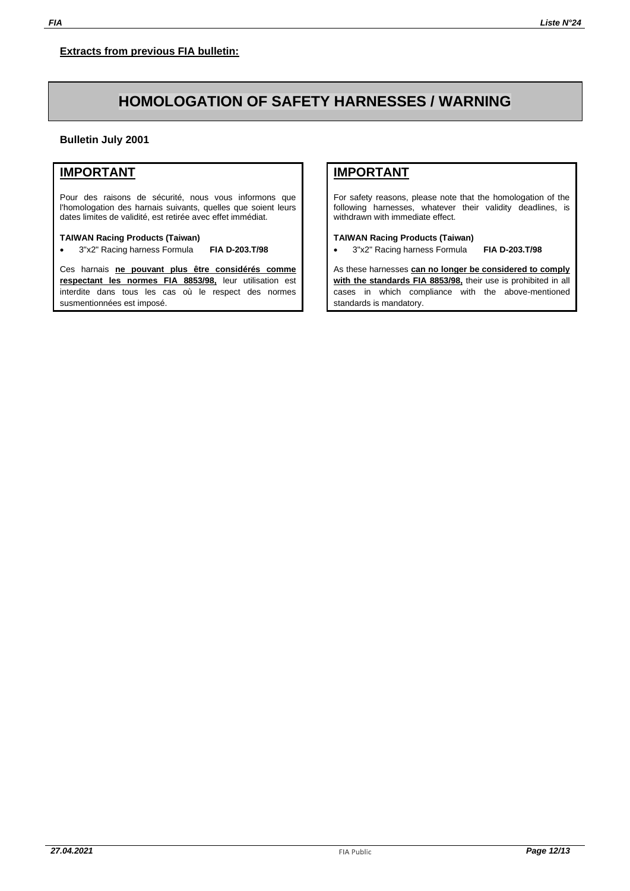# **HOMOLOGATION OF SAFETY HARNESSES / WARNING**

**Bulletin July 2001**

### **IMPORTANT**

Pour des raisons de sécurité, nous vous informons que l'homologation des harnais suivants, quelles que soient leurs dates limites de validité, est retirée avec effet immédiat.

#### **TAIWAN Racing Products (Taiwan)**

• 3"x2" Racing harness Formula **FIA D-203.T/98**

Ces harnais **ne pouvant plus être considérés comme respectant les normes FIA 8853/98,** leur utilisation est interdite dans tous les cas où le respect des normes susmentionnées est imposé.

## **IMPORTANT**

For safety reasons, please note that the homologation of the following harnesses, whatever their validity deadlines, is withdrawn with immediate effect.

#### **TAIWAN Racing Products (Taiwan)**

• 3"x2" Racing harness Formula **FIA D-203.T/98**

As these harnesses **can no longer be considered to comply with the standards FIA 8853/98,** their use is prohibited in all cases in which compliance with the above-mentioned standards is mandatory.